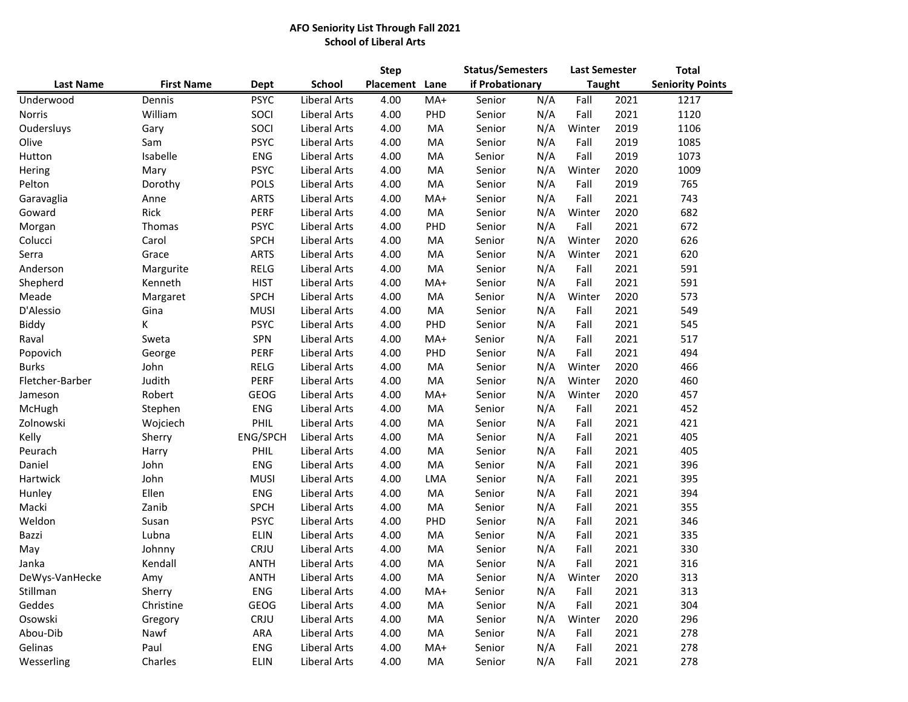## **AFO Seniority List Through Fall 2021 School of Liberal Arts**

|                  |                   |             |                     | <b>Step</b> |            | <b>Status/Semesters</b> |     | <b>Last Semester</b> |      | <b>Total</b>            |  |
|------------------|-------------------|-------------|---------------------|-------------|------------|-------------------------|-----|----------------------|------|-------------------------|--|
| <b>Last Name</b> | <b>First Name</b> | Dept        | <b>School</b>       | Placement   | Lane       | if Probationary         |     | <b>Taught</b>        |      | <b>Seniority Points</b> |  |
| Underwood        | Dennis            | <b>PSYC</b> | Liberal Arts        | 4.00        | MA+        | Senior                  | N/A | Fall                 | 2021 | 1217                    |  |
| Norris           | William           | SOCI        | Liberal Arts        | 4.00        | PHD        | Senior                  | N/A | Fall                 | 2021 | 1120                    |  |
| Oudersluys       | Gary              | SOCI        | Liberal Arts        | 4.00        | MA         | Senior                  | N/A | Winter               | 2019 | 1106                    |  |
| Olive            | Sam               | <b>PSYC</b> | <b>Liberal Arts</b> | 4.00        | MA         | Senior                  | N/A | Fall                 | 2019 | 1085                    |  |
| Hutton           | Isabelle          | <b>ENG</b>  | Liberal Arts        | 4.00        | MA         | Senior                  | N/A | Fall                 | 2019 | 1073                    |  |
| Hering           | Mary              | <b>PSYC</b> | Liberal Arts        | 4.00        | MA         | Senior                  | N/A | Winter               | 2020 | 1009                    |  |
| Pelton           | Dorothy           | <b>POLS</b> | Liberal Arts        | 4.00        | MA         | Senior                  | N/A | Fall                 | 2019 | 765                     |  |
| Garavaglia       | Anne              | <b>ARTS</b> | Liberal Arts        | 4.00        | MA+        | Senior                  | N/A | Fall                 | 2021 | 743                     |  |
| Goward           | Rick              | <b>PERF</b> | Liberal Arts        | 4.00        | MA         | Senior                  | N/A | Winter               | 2020 | 682                     |  |
| Morgan           | Thomas            | <b>PSYC</b> | Liberal Arts        | 4.00        | PHD        | Senior                  | N/A | Fall                 | 2021 | 672                     |  |
| Colucci          | Carol             | <b>SPCH</b> | Liberal Arts        | 4.00        | MA         | Senior                  | N/A | Winter               | 2020 | 626                     |  |
| Serra            | Grace             | <b>ARTS</b> | Liberal Arts        | 4.00        | MA         | Senior                  | N/A | Winter               | 2021 | 620                     |  |
| Anderson         | Margurite         | RELG        | Liberal Arts        | 4.00        | MA         | Senior                  | N/A | Fall                 | 2021 | 591                     |  |
| Shepherd         | Kenneth           | <b>HIST</b> | Liberal Arts        | 4.00        | MA+        | Senior                  | N/A | Fall                 | 2021 | 591                     |  |
| Meade            | Margaret          | <b>SPCH</b> | <b>Liberal Arts</b> | 4.00        | MA         | Senior                  | N/A | Winter               | 2020 | 573                     |  |
| D'Alessio        | Gina              | <b>MUSI</b> | Liberal Arts        | 4.00        | MA         | Senior                  | N/A | Fall                 | 2021 | 549                     |  |
| Biddy            | K                 | <b>PSYC</b> | Liberal Arts        | 4.00        | PHD        | Senior                  | N/A | Fall                 | 2021 | 545                     |  |
| Raval            | Sweta             | SPN         | Liberal Arts        | 4.00        | MA+        | Senior                  | N/A | Fall                 | 2021 | 517                     |  |
| Popovich         | George            | <b>PERF</b> | Liberal Arts        | 4.00        | PHD        | Senior                  | N/A | Fall                 | 2021 | 494                     |  |
| <b>Burks</b>     | John              | RELG        | Liberal Arts        | 4.00        | MA         | Senior                  | N/A | Winter               | 2020 | 466                     |  |
| Fletcher-Barber  | Judith            | PERF        | Liberal Arts        | 4.00        | MA         | Senior                  | N/A | Winter               | 2020 | 460                     |  |
| Jameson          | Robert            | <b>GEOG</b> | Liberal Arts        | 4.00        | MA+        | Senior                  | N/A | Winter               | 2020 | 457                     |  |
| McHugh           | Stephen           | <b>ENG</b>  | Liberal Arts        | 4.00        | MA         | Senior                  | N/A | Fall                 | 2021 | 452                     |  |
| Zolnowski        | Wojciech          | PHIL        | Liberal Arts        | 4.00        | MA         | Senior                  | N/A | Fall                 | 2021 | 421                     |  |
| Kelly            | Sherry            | ENG/SPCH    | Liberal Arts        | 4.00        | MA         | Senior                  | N/A | Fall                 | 2021 | 405                     |  |
| Peurach          | Harry             | PHIL        | Liberal Arts        | 4.00        | MA         | Senior                  | N/A | Fall                 | 2021 | 405                     |  |
| Daniel           | John              | <b>ENG</b>  | Liberal Arts        | 4.00        | MA         | Senior                  | N/A | Fall                 | 2021 | 396                     |  |
| Hartwick         | John              | <b>MUSI</b> | Liberal Arts        | 4.00        | <b>LMA</b> | Senior                  | N/A | Fall                 | 2021 | 395                     |  |
| Hunley           | Ellen             | <b>ENG</b>  | <b>Liberal Arts</b> | 4.00        | MA         | Senior                  | N/A | Fall                 | 2021 | 394                     |  |
| Macki            | Zanib             | <b>SPCH</b> | Liberal Arts        | 4.00        | MA         | Senior                  | N/A | Fall                 | 2021 | 355                     |  |
| Weldon           | Susan             | <b>PSYC</b> | Liberal Arts        | 4.00        | PHD        | Senior                  | N/A | Fall                 | 2021 | 346                     |  |
| Bazzi            | Lubna             | <b>ELIN</b> | Liberal Arts        | 4.00        | MA         | Senior                  | N/A | Fall                 | 2021 | 335                     |  |
| May              | Johnny            | CRJU        | Liberal Arts        | 4.00        | MA         | Senior                  | N/A | Fall                 | 2021 | 330                     |  |
| Janka            | Kendall           | <b>ANTH</b> | Liberal Arts        | 4.00        | MA         | Senior                  | N/A | Fall                 | 2021 | 316                     |  |
| DeWys-VanHecke   | Amy               | <b>ANTH</b> | Liberal Arts        | 4.00        | MA         | Senior                  | N/A | Winter               | 2020 | 313                     |  |
| Stillman         | Sherry            | ENG         | Liberal Arts        | 4.00        | MA+        | Senior                  | N/A | Fall                 | 2021 | 313                     |  |
| Geddes           | Christine         | GEOG        | Liberal Arts        | 4.00        | MA         | Senior                  | N/A | Fall                 | 2021 | 304                     |  |
| Osowski          | Gregory           | CRJU        | Liberal Arts        | 4.00        | MA         | Senior                  | N/A | Winter               | 2020 | 296                     |  |
| Abou-Dib         | Nawf              | ARA         | Liberal Arts        | 4.00        | MA         | Senior                  | N/A | Fall                 | 2021 | 278                     |  |
| Gelinas          | Paul              | <b>ENG</b>  | Liberal Arts        | 4.00        | MA+        | Senior                  | N/A | Fall                 | 2021 | 278                     |  |
| Wesserling       | Charles           | <b>ELIN</b> | <b>Liberal Arts</b> | 4.00        | MA         | Senior                  | N/A | Fall                 | 2021 | 278                     |  |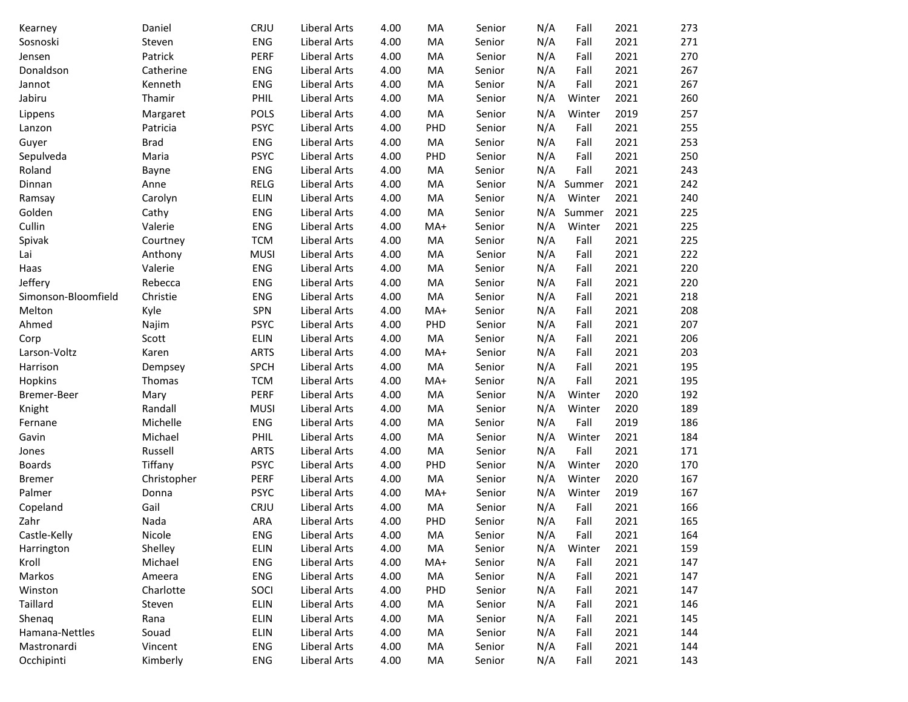| <b>ENG</b><br>2021<br>271<br>Sosnoski<br><b>Liberal Arts</b><br>4.00<br>N/A<br>Fall<br>Steven<br>MA<br>Senior<br>2021<br>270<br>Patrick<br><b>PERF</b><br><b>Liberal Arts</b><br>4.00<br>MA<br>Senior<br>N/A<br>Fall<br>Jensen<br>2021<br>267<br>Donaldson<br>ENG<br><b>Liberal Arts</b><br>4.00<br>N/A<br>Catherine<br>MA<br>Senior<br>Fall<br>2021<br>Kenneth<br><b>ENG</b><br><b>Liberal Arts</b><br>4.00<br>N/A<br>Fall<br>267<br>Jannot<br>MA<br>Senior<br>Jabiru<br>N/A<br>2021<br>260<br>Thamir<br>PHIL<br>Liberal Arts<br>4.00<br>MA<br>Senior<br>Winter<br><b>POLS</b><br>N/A<br>2019<br>257<br><b>Liberal Arts</b><br>4.00<br>MA<br>Senior<br>Winter<br>Lippens<br>Margaret<br><b>PSYC</b><br>N/A<br>2021<br>Liberal Arts<br>4.00<br>PHD<br>Fall<br>255<br>Patricia<br>Senior<br>Lanzon<br>2021<br>ENG<br>Liberal Arts<br>4.00<br>N/A<br>Fall<br>253<br>Guyer<br><b>Brad</b><br>MA<br>Senior<br>2021<br>250<br>Sepulveda<br><b>PSYC</b><br>Liberal Arts<br>PHD<br>N/A<br>Fall<br>Maria<br>4.00<br>Senior<br>Roland<br>ENG<br>Liberal Arts<br>4.00<br>N/A<br>Fall<br>2021<br>243<br>MA<br>Senior<br>Bayne<br><b>RELG</b><br>Liberal Arts<br>4.00<br>MA<br>N/A<br>2021<br>242<br>Dinnan<br>Senior<br>Summer<br>Anne<br><b>ELIN</b><br>Liberal Arts<br>4.00<br>MA<br>N/A<br>2021<br>240<br>Ramsay<br>Senior<br>Winter<br>Carolyn<br>N/A<br>Summer<br>2021<br>Golden<br>Cathy<br>ENG<br>Liberal Arts<br>4.00<br>MA<br>225<br>Senior<br>Cullin<br>N/A<br>2021<br>Valerie<br><b>ENG</b><br>Liberal Arts<br>4.00<br>$MA+$<br>Winter<br>225<br>Senior<br>N/A<br><b>TCM</b><br>Liberal Arts<br>4.00<br>MA<br>Fall<br>2021<br>225<br>Spivak<br>Courtney<br>Senior<br>N/A<br>2021<br>222<br><b>MUSI</b><br>Liberal Arts<br>4.00<br>MA<br>Fall<br>Lai<br>Anthony<br>Senior<br>2021<br>ENG<br><b>Liberal Arts</b><br>4.00<br>MA<br>Senior<br>N/A<br>Fall<br>220<br>Haas<br>Valerie<br>Jeffery<br>ENG<br><b>Liberal Arts</b><br>4.00<br>MA<br>N/A<br>Fall<br>2021<br>220<br>Rebecca<br>Senior<br>2021<br>Simonson-Bloomfield<br><b>ENG</b><br><b>Liberal Arts</b><br>4.00<br>MA<br>N/A<br>Fall<br>218<br>Christie<br>Senior<br>2021<br>Melton<br><b>SPN</b><br>4.00<br>MA+<br>N/A<br>Fall<br>208<br>Kyle<br><b>Liberal Arts</b><br>Senior<br>2021<br><b>PSYC</b><br><b>Liberal Arts</b><br>4.00<br>PHD<br>N/A<br>Fall<br>207<br>Ahmed<br>Najim<br>Senior<br>Scott<br><b>ELIN</b><br><b>Liberal Arts</b><br>4.00<br>MA<br>N/A<br>Fall<br>2021<br>206<br>Corp<br>Senior<br>Larson-Voltz<br><b>ARTS</b><br><b>Liberal Arts</b><br>4.00<br>N/A<br>2021<br>203<br>Karen<br>MA+<br>Senior<br>Fall<br>2021<br><b>SPCH</b><br><b>Liberal Arts</b><br>4.00<br>MA<br>N/A<br>Fall<br>195<br>Harrison<br>Senior<br>Dempsey<br>N/A<br>2021<br>Hopkins<br><b>TCM</b><br><b>Liberal Arts</b><br>4.00<br>$MA+$<br>Senior<br>Fall<br>195<br>Thomas<br>N/A<br>2020<br>192<br><b>PERF</b><br>Liberal Arts<br>4.00<br>MA<br>Bremer-Beer<br>Mary<br>Senior<br>Winter<br>N/A<br>189<br>Randall<br><b>MUSI</b><br>Liberal Arts<br>4.00<br>Winter<br>2020<br>Knight<br>MA<br>Senior<br>N/A<br>Fall<br>2019<br>186<br>Fernane<br>Michelle<br>ENG<br><b>Liberal Arts</b><br>4.00<br>MA<br>Senior<br>N/A<br>184<br>Michael<br>PHIL<br><b>Liberal Arts</b><br>Winter<br>2021<br>Gavin<br>4.00<br>MA<br>Senior<br>N/A<br>Fall<br>2021<br>Russell<br><b>ARTS</b><br>Liberal Arts<br>4.00<br>MA<br>171<br>Senior<br>Jones<br>Tiffany<br><b>PSYC</b><br>PHD<br>N/A<br>Winter<br>2020<br>170<br><b>Boards</b><br>Liberal Arts<br>4.00<br>Senior<br>PERF<br>N/A<br>2020<br>167<br>Liberal Arts<br>4.00<br>MA<br>Winter<br><b>Bremer</b><br>Christopher<br>Senior<br>N/A<br>Palmer<br><b>PSYC</b><br>Liberal Arts<br>Winter<br>2019<br>167<br>Donna<br>4.00<br>MA+<br>Senior<br>Gail<br>CRJU<br>Liberal Arts<br>N/A<br>Fall<br>2021<br>166<br>Copeland<br>4.00<br>MA<br>Senior<br>Fall<br>165<br>Zahr<br>Nada<br><b>ARA</b><br>Liberal Arts<br>4.00<br>PHD<br>N/A<br>2021<br>Senior<br>Castle-Kelly<br>Nicole<br>ENG<br>4.00<br>MA<br>N/A<br>Fall<br>2021<br>164<br>Liberal Arts<br>Senior<br><b>ELIN</b><br>N/A<br>2021<br>159<br>Harrington<br>Shelley<br>Liberal Arts<br>4.00<br>MA<br>Senior<br>Winter<br>Kroll<br>N/A<br>Michael<br>ENG<br>Liberal Arts<br>4.00<br>Fall<br>2021<br>147<br>MA+<br>Senior<br>N/A<br>Markos<br>ENG<br><b>Liberal Arts</b><br>4.00<br>Fall<br>2021<br>Ameera<br>MA<br>Senior<br>147<br>Charlotte<br>SOCI<br><b>Liberal Arts</b><br>4.00<br>PHD<br>N/A<br>Fall<br>2021<br>Winston<br>Senior<br>147<br>ELIN<br>Taillard<br><b>Liberal Arts</b><br>4.00<br>N/A<br>Fall<br>2021<br>Steven<br>MA<br>Senior<br>146<br>N/A<br>ELIN<br><b>Liberal Arts</b><br>4.00<br>Fall<br>2021<br>Shenaq<br>Rana<br>MA<br>Senior<br>145<br>N/A<br>ELIN<br>Liberal Arts<br>4.00<br>Fall<br>2021<br>Hamana-Nettles<br>Souad<br>MA<br>Senior<br>144<br>2021<br>Mastronardi<br>Vincent<br>ENG<br><b>Liberal Arts</b><br>4.00<br>MA<br>N/A<br>Fall<br>Senior<br>144 | Kearney    | Daniel   | CRJU | Liberal Arts | 4.00 | MA | Senior | N/A | Fall | 2021 | 273 |
|--------------------------------------------------------------------------------------------------------------------------------------------------------------------------------------------------------------------------------------------------------------------------------------------------------------------------------------------------------------------------------------------------------------------------------------------------------------------------------------------------------------------------------------------------------------------------------------------------------------------------------------------------------------------------------------------------------------------------------------------------------------------------------------------------------------------------------------------------------------------------------------------------------------------------------------------------------------------------------------------------------------------------------------------------------------------------------------------------------------------------------------------------------------------------------------------------------------------------------------------------------------------------------------------------------------------------------------------------------------------------------------------------------------------------------------------------------------------------------------------------------------------------------------------------------------------------------------------------------------------------------------------------------------------------------------------------------------------------------------------------------------------------------------------------------------------------------------------------------------------------------------------------------------------------------------------------------------------------------------------------------------------------------------------------------------------------------------------------------------------------------------------------------------------------------------------------------------------------------------------------------------------------------------------------------------------------------------------------------------------------------------------------------------------------------------------------------------------------------------------------------------------------------------------------------------------------------------------------------------------------------------------------------------------------------------------------------------------------------------------------------------------------------------------------------------------------------------------------------------------------------------------------------------------------------------------------------------------------------------------------------------------------------------------------------------------------------------------------------------------------------------------------------------------------------------------------------------------------------------------------------------------------------------------------------------------------------------------------------------------------------------------------------------------------------------------------------------------------------------------------------------------------------------------------------------------------------------------------------------------------------------------------------------------------------------------------------------------------------------------------------------------------------------------------------------------------------------------------------------------------------------------------------------------------------------------------------------------------------------------------------------------------------------------------------------------------------------------------------------------------------------------------------------------------------------------------------------------------------------------------------------------------------------------------------------------------------------------------------------------------------------------------------------------------------------------------------------------------------------------------------------------------------------------------------------------------------------------------------------------------------------------------------------------------------------------------------------------------------------------------------------------------------------------------------------------------------------------------------------------------------------------------------------------------------------|------------|----------|------|--------------|------|----|--------|-----|------|------|-----|
|                                                                                                                                                                                                                                                                                                                                                                                                                                                                                                                                                                                                                                                                                                                                                                                                                                                                                                                                                                                                                                                                                                                                                                                                                                                                                                                                                                                                                                                                                                                                                                                                                                                                                                                                                                                                                                                                                                                                                                                                                                                                                                                                                                                                                                                                                                                                                                                                                                                                                                                                                                                                                                                                                                                                                                                                                                                                                                                                                                                                                                                                                                                                                                                                                                                                                                                                                                                                                                                                                                                                                                                                                                                                                                                                                                                                                                                                                                                                                                                                                                                                                                                                                                                                                                                                                                                                                                                                                                                                                                                                                                                                                                                                                                                                                                                                                                                                                                                                      |            |          |      |              |      |    |        |     |      |      |     |
|                                                                                                                                                                                                                                                                                                                                                                                                                                                                                                                                                                                                                                                                                                                                                                                                                                                                                                                                                                                                                                                                                                                                                                                                                                                                                                                                                                                                                                                                                                                                                                                                                                                                                                                                                                                                                                                                                                                                                                                                                                                                                                                                                                                                                                                                                                                                                                                                                                                                                                                                                                                                                                                                                                                                                                                                                                                                                                                                                                                                                                                                                                                                                                                                                                                                                                                                                                                                                                                                                                                                                                                                                                                                                                                                                                                                                                                                                                                                                                                                                                                                                                                                                                                                                                                                                                                                                                                                                                                                                                                                                                                                                                                                                                                                                                                                                                                                                                                                      |            |          |      |              |      |    |        |     |      |      |     |
|                                                                                                                                                                                                                                                                                                                                                                                                                                                                                                                                                                                                                                                                                                                                                                                                                                                                                                                                                                                                                                                                                                                                                                                                                                                                                                                                                                                                                                                                                                                                                                                                                                                                                                                                                                                                                                                                                                                                                                                                                                                                                                                                                                                                                                                                                                                                                                                                                                                                                                                                                                                                                                                                                                                                                                                                                                                                                                                                                                                                                                                                                                                                                                                                                                                                                                                                                                                                                                                                                                                                                                                                                                                                                                                                                                                                                                                                                                                                                                                                                                                                                                                                                                                                                                                                                                                                                                                                                                                                                                                                                                                                                                                                                                                                                                                                                                                                                                                                      |            |          |      |              |      |    |        |     |      |      |     |
|                                                                                                                                                                                                                                                                                                                                                                                                                                                                                                                                                                                                                                                                                                                                                                                                                                                                                                                                                                                                                                                                                                                                                                                                                                                                                                                                                                                                                                                                                                                                                                                                                                                                                                                                                                                                                                                                                                                                                                                                                                                                                                                                                                                                                                                                                                                                                                                                                                                                                                                                                                                                                                                                                                                                                                                                                                                                                                                                                                                                                                                                                                                                                                                                                                                                                                                                                                                                                                                                                                                                                                                                                                                                                                                                                                                                                                                                                                                                                                                                                                                                                                                                                                                                                                                                                                                                                                                                                                                                                                                                                                                                                                                                                                                                                                                                                                                                                                                                      |            |          |      |              |      |    |        |     |      |      |     |
|                                                                                                                                                                                                                                                                                                                                                                                                                                                                                                                                                                                                                                                                                                                                                                                                                                                                                                                                                                                                                                                                                                                                                                                                                                                                                                                                                                                                                                                                                                                                                                                                                                                                                                                                                                                                                                                                                                                                                                                                                                                                                                                                                                                                                                                                                                                                                                                                                                                                                                                                                                                                                                                                                                                                                                                                                                                                                                                                                                                                                                                                                                                                                                                                                                                                                                                                                                                                                                                                                                                                                                                                                                                                                                                                                                                                                                                                                                                                                                                                                                                                                                                                                                                                                                                                                                                                                                                                                                                                                                                                                                                                                                                                                                                                                                                                                                                                                                                                      |            |          |      |              |      |    |        |     |      |      |     |
|                                                                                                                                                                                                                                                                                                                                                                                                                                                                                                                                                                                                                                                                                                                                                                                                                                                                                                                                                                                                                                                                                                                                                                                                                                                                                                                                                                                                                                                                                                                                                                                                                                                                                                                                                                                                                                                                                                                                                                                                                                                                                                                                                                                                                                                                                                                                                                                                                                                                                                                                                                                                                                                                                                                                                                                                                                                                                                                                                                                                                                                                                                                                                                                                                                                                                                                                                                                                                                                                                                                                                                                                                                                                                                                                                                                                                                                                                                                                                                                                                                                                                                                                                                                                                                                                                                                                                                                                                                                                                                                                                                                                                                                                                                                                                                                                                                                                                                                                      |            |          |      |              |      |    |        |     |      |      |     |
|                                                                                                                                                                                                                                                                                                                                                                                                                                                                                                                                                                                                                                                                                                                                                                                                                                                                                                                                                                                                                                                                                                                                                                                                                                                                                                                                                                                                                                                                                                                                                                                                                                                                                                                                                                                                                                                                                                                                                                                                                                                                                                                                                                                                                                                                                                                                                                                                                                                                                                                                                                                                                                                                                                                                                                                                                                                                                                                                                                                                                                                                                                                                                                                                                                                                                                                                                                                                                                                                                                                                                                                                                                                                                                                                                                                                                                                                                                                                                                                                                                                                                                                                                                                                                                                                                                                                                                                                                                                                                                                                                                                                                                                                                                                                                                                                                                                                                                                                      |            |          |      |              |      |    |        |     |      |      |     |
|                                                                                                                                                                                                                                                                                                                                                                                                                                                                                                                                                                                                                                                                                                                                                                                                                                                                                                                                                                                                                                                                                                                                                                                                                                                                                                                                                                                                                                                                                                                                                                                                                                                                                                                                                                                                                                                                                                                                                                                                                                                                                                                                                                                                                                                                                                                                                                                                                                                                                                                                                                                                                                                                                                                                                                                                                                                                                                                                                                                                                                                                                                                                                                                                                                                                                                                                                                                                                                                                                                                                                                                                                                                                                                                                                                                                                                                                                                                                                                                                                                                                                                                                                                                                                                                                                                                                                                                                                                                                                                                                                                                                                                                                                                                                                                                                                                                                                                                                      |            |          |      |              |      |    |        |     |      |      |     |
|                                                                                                                                                                                                                                                                                                                                                                                                                                                                                                                                                                                                                                                                                                                                                                                                                                                                                                                                                                                                                                                                                                                                                                                                                                                                                                                                                                                                                                                                                                                                                                                                                                                                                                                                                                                                                                                                                                                                                                                                                                                                                                                                                                                                                                                                                                                                                                                                                                                                                                                                                                                                                                                                                                                                                                                                                                                                                                                                                                                                                                                                                                                                                                                                                                                                                                                                                                                                                                                                                                                                                                                                                                                                                                                                                                                                                                                                                                                                                                                                                                                                                                                                                                                                                                                                                                                                                                                                                                                                                                                                                                                                                                                                                                                                                                                                                                                                                                                                      |            |          |      |              |      |    |        |     |      |      |     |
|                                                                                                                                                                                                                                                                                                                                                                                                                                                                                                                                                                                                                                                                                                                                                                                                                                                                                                                                                                                                                                                                                                                                                                                                                                                                                                                                                                                                                                                                                                                                                                                                                                                                                                                                                                                                                                                                                                                                                                                                                                                                                                                                                                                                                                                                                                                                                                                                                                                                                                                                                                                                                                                                                                                                                                                                                                                                                                                                                                                                                                                                                                                                                                                                                                                                                                                                                                                                                                                                                                                                                                                                                                                                                                                                                                                                                                                                                                                                                                                                                                                                                                                                                                                                                                                                                                                                                                                                                                                                                                                                                                                                                                                                                                                                                                                                                                                                                                                                      |            |          |      |              |      |    |        |     |      |      |     |
|                                                                                                                                                                                                                                                                                                                                                                                                                                                                                                                                                                                                                                                                                                                                                                                                                                                                                                                                                                                                                                                                                                                                                                                                                                                                                                                                                                                                                                                                                                                                                                                                                                                                                                                                                                                                                                                                                                                                                                                                                                                                                                                                                                                                                                                                                                                                                                                                                                                                                                                                                                                                                                                                                                                                                                                                                                                                                                                                                                                                                                                                                                                                                                                                                                                                                                                                                                                                                                                                                                                                                                                                                                                                                                                                                                                                                                                                                                                                                                                                                                                                                                                                                                                                                                                                                                                                                                                                                                                                                                                                                                                                                                                                                                                                                                                                                                                                                                                                      |            |          |      |              |      |    |        |     |      |      |     |
|                                                                                                                                                                                                                                                                                                                                                                                                                                                                                                                                                                                                                                                                                                                                                                                                                                                                                                                                                                                                                                                                                                                                                                                                                                                                                                                                                                                                                                                                                                                                                                                                                                                                                                                                                                                                                                                                                                                                                                                                                                                                                                                                                                                                                                                                                                                                                                                                                                                                                                                                                                                                                                                                                                                                                                                                                                                                                                                                                                                                                                                                                                                                                                                                                                                                                                                                                                                                                                                                                                                                                                                                                                                                                                                                                                                                                                                                                                                                                                                                                                                                                                                                                                                                                                                                                                                                                                                                                                                                                                                                                                                                                                                                                                                                                                                                                                                                                                                                      |            |          |      |              |      |    |        |     |      |      |     |
|                                                                                                                                                                                                                                                                                                                                                                                                                                                                                                                                                                                                                                                                                                                                                                                                                                                                                                                                                                                                                                                                                                                                                                                                                                                                                                                                                                                                                                                                                                                                                                                                                                                                                                                                                                                                                                                                                                                                                                                                                                                                                                                                                                                                                                                                                                                                                                                                                                                                                                                                                                                                                                                                                                                                                                                                                                                                                                                                                                                                                                                                                                                                                                                                                                                                                                                                                                                                                                                                                                                                                                                                                                                                                                                                                                                                                                                                                                                                                                                                                                                                                                                                                                                                                                                                                                                                                                                                                                                                                                                                                                                                                                                                                                                                                                                                                                                                                                                                      |            |          |      |              |      |    |        |     |      |      |     |
|                                                                                                                                                                                                                                                                                                                                                                                                                                                                                                                                                                                                                                                                                                                                                                                                                                                                                                                                                                                                                                                                                                                                                                                                                                                                                                                                                                                                                                                                                                                                                                                                                                                                                                                                                                                                                                                                                                                                                                                                                                                                                                                                                                                                                                                                                                                                                                                                                                                                                                                                                                                                                                                                                                                                                                                                                                                                                                                                                                                                                                                                                                                                                                                                                                                                                                                                                                                                                                                                                                                                                                                                                                                                                                                                                                                                                                                                                                                                                                                                                                                                                                                                                                                                                                                                                                                                                                                                                                                                                                                                                                                                                                                                                                                                                                                                                                                                                                                                      |            |          |      |              |      |    |        |     |      |      |     |
|                                                                                                                                                                                                                                                                                                                                                                                                                                                                                                                                                                                                                                                                                                                                                                                                                                                                                                                                                                                                                                                                                                                                                                                                                                                                                                                                                                                                                                                                                                                                                                                                                                                                                                                                                                                                                                                                                                                                                                                                                                                                                                                                                                                                                                                                                                                                                                                                                                                                                                                                                                                                                                                                                                                                                                                                                                                                                                                                                                                                                                                                                                                                                                                                                                                                                                                                                                                                                                                                                                                                                                                                                                                                                                                                                                                                                                                                                                                                                                                                                                                                                                                                                                                                                                                                                                                                                                                                                                                                                                                                                                                                                                                                                                                                                                                                                                                                                                                                      |            |          |      |              |      |    |        |     |      |      |     |
|                                                                                                                                                                                                                                                                                                                                                                                                                                                                                                                                                                                                                                                                                                                                                                                                                                                                                                                                                                                                                                                                                                                                                                                                                                                                                                                                                                                                                                                                                                                                                                                                                                                                                                                                                                                                                                                                                                                                                                                                                                                                                                                                                                                                                                                                                                                                                                                                                                                                                                                                                                                                                                                                                                                                                                                                                                                                                                                                                                                                                                                                                                                                                                                                                                                                                                                                                                                                                                                                                                                                                                                                                                                                                                                                                                                                                                                                                                                                                                                                                                                                                                                                                                                                                                                                                                                                                                                                                                                                                                                                                                                                                                                                                                                                                                                                                                                                                                                                      |            |          |      |              |      |    |        |     |      |      |     |
|                                                                                                                                                                                                                                                                                                                                                                                                                                                                                                                                                                                                                                                                                                                                                                                                                                                                                                                                                                                                                                                                                                                                                                                                                                                                                                                                                                                                                                                                                                                                                                                                                                                                                                                                                                                                                                                                                                                                                                                                                                                                                                                                                                                                                                                                                                                                                                                                                                                                                                                                                                                                                                                                                                                                                                                                                                                                                                                                                                                                                                                                                                                                                                                                                                                                                                                                                                                                                                                                                                                                                                                                                                                                                                                                                                                                                                                                                                                                                                                                                                                                                                                                                                                                                                                                                                                                                                                                                                                                                                                                                                                                                                                                                                                                                                                                                                                                                                                                      |            |          |      |              |      |    |        |     |      |      |     |
|                                                                                                                                                                                                                                                                                                                                                                                                                                                                                                                                                                                                                                                                                                                                                                                                                                                                                                                                                                                                                                                                                                                                                                                                                                                                                                                                                                                                                                                                                                                                                                                                                                                                                                                                                                                                                                                                                                                                                                                                                                                                                                                                                                                                                                                                                                                                                                                                                                                                                                                                                                                                                                                                                                                                                                                                                                                                                                                                                                                                                                                                                                                                                                                                                                                                                                                                                                                                                                                                                                                                                                                                                                                                                                                                                                                                                                                                                                                                                                                                                                                                                                                                                                                                                                                                                                                                                                                                                                                                                                                                                                                                                                                                                                                                                                                                                                                                                                                                      |            |          |      |              |      |    |        |     |      |      |     |
|                                                                                                                                                                                                                                                                                                                                                                                                                                                                                                                                                                                                                                                                                                                                                                                                                                                                                                                                                                                                                                                                                                                                                                                                                                                                                                                                                                                                                                                                                                                                                                                                                                                                                                                                                                                                                                                                                                                                                                                                                                                                                                                                                                                                                                                                                                                                                                                                                                                                                                                                                                                                                                                                                                                                                                                                                                                                                                                                                                                                                                                                                                                                                                                                                                                                                                                                                                                                                                                                                                                                                                                                                                                                                                                                                                                                                                                                                                                                                                                                                                                                                                                                                                                                                                                                                                                                                                                                                                                                                                                                                                                                                                                                                                                                                                                                                                                                                                                                      |            |          |      |              |      |    |        |     |      |      |     |
|                                                                                                                                                                                                                                                                                                                                                                                                                                                                                                                                                                                                                                                                                                                                                                                                                                                                                                                                                                                                                                                                                                                                                                                                                                                                                                                                                                                                                                                                                                                                                                                                                                                                                                                                                                                                                                                                                                                                                                                                                                                                                                                                                                                                                                                                                                                                                                                                                                                                                                                                                                                                                                                                                                                                                                                                                                                                                                                                                                                                                                                                                                                                                                                                                                                                                                                                                                                                                                                                                                                                                                                                                                                                                                                                                                                                                                                                                                                                                                                                                                                                                                                                                                                                                                                                                                                                                                                                                                                                                                                                                                                                                                                                                                                                                                                                                                                                                                                                      |            |          |      |              |      |    |        |     |      |      |     |
|                                                                                                                                                                                                                                                                                                                                                                                                                                                                                                                                                                                                                                                                                                                                                                                                                                                                                                                                                                                                                                                                                                                                                                                                                                                                                                                                                                                                                                                                                                                                                                                                                                                                                                                                                                                                                                                                                                                                                                                                                                                                                                                                                                                                                                                                                                                                                                                                                                                                                                                                                                                                                                                                                                                                                                                                                                                                                                                                                                                                                                                                                                                                                                                                                                                                                                                                                                                                                                                                                                                                                                                                                                                                                                                                                                                                                                                                                                                                                                                                                                                                                                                                                                                                                                                                                                                                                                                                                                                                                                                                                                                                                                                                                                                                                                                                                                                                                                                                      |            |          |      |              |      |    |        |     |      |      |     |
|                                                                                                                                                                                                                                                                                                                                                                                                                                                                                                                                                                                                                                                                                                                                                                                                                                                                                                                                                                                                                                                                                                                                                                                                                                                                                                                                                                                                                                                                                                                                                                                                                                                                                                                                                                                                                                                                                                                                                                                                                                                                                                                                                                                                                                                                                                                                                                                                                                                                                                                                                                                                                                                                                                                                                                                                                                                                                                                                                                                                                                                                                                                                                                                                                                                                                                                                                                                                                                                                                                                                                                                                                                                                                                                                                                                                                                                                                                                                                                                                                                                                                                                                                                                                                                                                                                                                                                                                                                                                                                                                                                                                                                                                                                                                                                                                                                                                                                                                      |            |          |      |              |      |    |        |     |      |      |     |
|                                                                                                                                                                                                                                                                                                                                                                                                                                                                                                                                                                                                                                                                                                                                                                                                                                                                                                                                                                                                                                                                                                                                                                                                                                                                                                                                                                                                                                                                                                                                                                                                                                                                                                                                                                                                                                                                                                                                                                                                                                                                                                                                                                                                                                                                                                                                                                                                                                                                                                                                                                                                                                                                                                                                                                                                                                                                                                                                                                                                                                                                                                                                                                                                                                                                                                                                                                                                                                                                                                                                                                                                                                                                                                                                                                                                                                                                                                                                                                                                                                                                                                                                                                                                                                                                                                                                                                                                                                                                                                                                                                                                                                                                                                                                                                                                                                                                                                                                      |            |          |      |              |      |    |        |     |      |      |     |
|                                                                                                                                                                                                                                                                                                                                                                                                                                                                                                                                                                                                                                                                                                                                                                                                                                                                                                                                                                                                                                                                                                                                                                                                                                                                                                                                                                                                                                                                                                                                                                                                                                                                                                                                                                                                                                                                                                                                                                                                                                                                                                                                                                                                                                                                                                                                                                                                                                                                                                                                                                                                                                                                                                                                                                                                                                                                                                                                                                                                                                                                                                                                                                                                                                                                                                                                                                                                                                                                                                                                                                                                                                                                                                                                                                                                                                                                                                                                                                                                                                                                                                                                                                                                                                                                                                                                                                                                                                                                                                                                                                                                                                                                                                                                                                                                                                                                                                                                      |            |          |      |              |      |    |        |     |      |      |     |
|                                                                                                                                                                                                                                                                                                                                                                                                                                                                                                                                                                                                                                                                                                                                                                                                                                                                                                                                                                                                                                                                                                                                                                                                                                                                                                                                                                                                                                                                                                                                                                                                                                                                                                                                                                                                                                                                                                                                                                                                                                                                                                                                                                                                                                                                                                                                                                                                                                                                                                                                                                                                                                                                                                                                                                                                                                                                                                                                                                                                                                                                                                                                                                                                                                                                                                                                                                                                                                                                                                                                                                                                                                                                                                                                                                                                                                                                                                                                                                                                                                                                                                                                                                                                                                                                                                                                                                                                                                                                                                                                                                                                                                                                                                                                                                                                                                                                                                                                      |            |          |      |              |      |    |        |     |      |      |     |
|                                                                                                                                                                                                                                                                                                                                                                                                                                                                                                                                                                                                                                                                                                                                                                                                                                                                                                                                                                                                                                                                                                                                                                                                                                                                                                                                                                                                                                                                                                                                                                                                                                                                                                                                                                                                                                                                                                                                                                                                                                                                                                                                                                                                                                                                                                                                                                                                                                                                                                                                                                                                                                                                                                                                                                                                                                                                                                                                                                                                                                                                                                                                                                                                                                                                                                                                                                                                                                                                                                                                                                                                                                                                                                                                                                                                                                                                                                                                                                                                                                                                                                                                                                                                                                                                                                                                                                                                                                                                                                                                                                                                                                                                                                                                                                                                                                                                                                                                      |            |          |      |              |      |    |        |     |      |      |     |
|                                                                                                                                                                                                                                                                                                                                                                                                                                                                                                                                                                                                                                                                                                                                                                                                                                                                                                                                                                                                                                                                                                                                                                                                                                                                                                                                                                                                                                                                                                                                                                                                                                                                                                                                                                                                                                                                                                                                                                                                                                                                                                                                                                                                                                                                                                                                                                                                                                                                                                                                                                                                                                                                                                                                                                                                                                                                                                                                                                                                                                                                                                                                                                                                                                                                                                                                                                                                                                                                                                                                                                                                                                                                                                                                                                                                                                                                                                                                                                                                                                                                                                                                                                                                                                                                                                                                                                                                                                                                                                                                                                                                                                                                                                                                                                                                                                                                                                                                      |            |          |      |              |      |    |        |     |      |      |     |
|                                                                                                                                                                                                                                                                                                                                                                                                                                                                                                                                                                                                                                                                                                                                                                                                                                                                                                                                                                                                                                                                                                                                                                                                                                                                                                                                                                                                                                                                                                                                                                                                                                                                                                                                                                                                                                                                                                                                                                                                                                                                                                                                                                                                                                                                                                                                                                                                                                                                                                                                                                                                                                                                                                                                                                                                                                                                                                                                                                                                                                                                                                                                                                                                                                                                                                                                                                                                                                                                                                                                                                                                                                                                                                                                                                                                                                                                                                                                                                                                                                                                                                                                                                                                                                                                                                                                                                                                                                                                                                                                                                                                                                                                                                                                                                                                                                                                                                                                      |            |          |      |              |      |    |        |     |      |      |     |
|                                                                                                                                                                                                                                                                                                                                                                                                                                                                                                                                                                                                                                                                                                                                                                                                                                                                                                                                                                                                                                                                                                                                                                                                                                                                                                                                                                                                                                                                                                                                                                                                                                                                                                                                                                                                                                                                                                                                                                                                                                                                                                                                                                                                                                                                                                                                                                                                                                                                                                                                                                                                                                                                                                                                                                                                                                                                                                                                                                                                                                                                                                                                                                                                                                                                                                                                                                                                                                                                                                                                                                                                                                                                                                                                                                                                                                                                                                                                                                                                                                                                                                                                                                                                                                                                                                                                                                                                                                                                                                                                                                                                                                                                                                                                                                                                                                                                                                                                      |            |          |      |              |      |    |        |     |      |      |     |
|                                                                                                                                                                                                                                                                                                                                                                                                                                                                                                                                                                                                                                                                                                                                                                                                                                                                                                                                                                                                                                                                                                                                                                                                                                                                                                                                                                                                                                                                                                                                                                                                                                                                                                                                                                                                                                                                                                                                                                                                                                                                                                                                                                                                                                                                                                                                                                                                                                                                                                                                                                                                                                                                                                                                                                                                                                                                                                                                                                                                                                                                                                                                                                                                                                                                                                                                                                                                                                                                                                                                                                                                                                                                                                                                                                                                                                                                                                                                                                                                                                                                                                                                                                                                                                                                                                                                                                                                                                                                                                                                                                                                                                                                                                                                                                                                                                                                                                                                      |            |          |      |              |      |    |        |     |      |      |     |
|                                                                                                                                                                                                                                                                                                                                                                                                                                                                                                                                                                                                                                                                                                                                                                                                                                                                                                                                                                                                                                                                                                                                                                                                                                                                                                                                                                                                                                                                                                                                                                                                                                                                                                                                                                                                                                                                                                                                                                                                                                                                                                                                                                                                                                                                                                                                                                                                                                                                                                                                                                                                                                                                                                                                                                                                                                                                                                                                                                                                                                                                                                                                                                                                                                                                                                                                                                                                                                                                                                                                                                                                                                                                                                                                                                                                                                                                                                                                                                                                                                                                                                                                                                                                                                                                                                                                                                                                                                                                                                                                                                                                                                                                                                                                                                                                                                                                                                                                      |            |          |      |              |      |    |        |     |      |      |     |
|                                                                                                                                                                                                                                                                                                                                                                                                                                                                                                                                                                                                                                                                                                                                                                                                                                                                                                                                                                                                                                                                                                                                                                                                                                                                                                                                                                                                                                                                                                                                                                                                                                                                                                                                                                                                                                                                                                                                                                                                                                                                                                                                                                                                                                                                                                                                                                                                                                                                                                                                                                                                                                                                                                                                                                                                                                                                                                                                                                                                                                                                                                                                                                                                                                                                                                                                                                                                                                                                                                                                                                                                                                                                                                                                                                                                                                                                                                                                                                                                                                                                                                                                                                                                                                                                                                                                                                                                                                                                                                                                                                                                                                                                                                                                                                                                                                                                                                                                      |            |          |      |              |      |    |        |     |      |      |     |
|                                                                                                                                                                                                                                                                                                                                                                                                                                                                                                                                                                                                                                                                                                                                                                                                                                                                                                                                                                                                                                                                                                                                                                                                                                                                                                                                                                                                                                                                                                                                                                                                                                                                                                                                                                                                                                                                                                                                                                                                                                                                                                                                                                                                                                                                                                                                                                                                                                                                                                                                                                                                                                                                                                                                                                                                                                                                                                                                                                                                                                                                                                                                                                                                                                                                                                                                                                                                                                                                                                                                                                                                                                                                                                                                                                                                                                                                                                                                                                                                                                                                                                                                                                                                                                                                                                                                                                                                                                                                                                                                                                                                                                                                                                                                                                                                                                                                                                                                      |            |          |      |              |      |    |        |     |      |      |     |
|                                                                                                                                                                                                                                                                                                                                                                                                                                                                                                                                                                                                                                                                                                                                                                                                                                                                                                                                                                                                                                                                                                                                                                                                                                                                                                                                                                                                                                                                                                                                                                                                                                                                                                                                                                                                                                                                                                                                                                                                                                                                                                                                                                                                                                                                                                                                                                                                                                                                                                                                                                                                                                                                                                                                                                                                                                                                                                                                                                                                                                                                                                                                                                                                                                                                                                                                                                                                                                                                                                                                                                                                                                                                                                                                                                                                                                                                                                                                                                                                                                                                                                                                                                                                                                                                                                                                                                                                                                                                                                                                                                                                                                                                                                                                                                                                                                                                                                                                      |            |          |      |              |      |    |        |     |      |      |     |
|                                                                                                                                                                                                                                                                                                                                                                                                                                                                                                                                                                                                                                                                                                                                                                                                                                                                                                                                                                                                                                                                                                                                                                                                                                                                                                                                                                                                                                                                                                                                                                                                                                                                                                                                                                                                                                                                                                                                                                                                                                                                                                                                                                                                                                                                                                                                                                                                                                                                                                                                                                                                                                                                                                                                                                                                                                                                                                                                                                                                                                                                                                                                                                                                                                                                                                                                                                                                                                                                                                                                                                                                                                                                                                                                                                                                                                                                                                                                                                                                                                                                                                                                                                                                                                                                                                                                                                                                                                                                                                                                                                                                                                                                                                                                                                                                                                                                                                                                      |            |          |      |              |      |    |        |     |      |      |     |
|                                                                                                                                                                                                                                                                                                                                                                                                                                                                                                                                                                                                                                                                                                                                                                                                                                                                                                                                                                                                                                                                                                                                                                                                                                                                                                                                                                                                                                                                                                                                                                                                                                                                                                                                                                                                                                                                                                                                                                                                                                                                                                                                                                                                                                                                                                                                                                                                                                                                                                                                                                                                                                                                                                                                                                                                                                                                                                                                                                                                                                                                                                                                                                                                                                                                                                                                                                                                                                                                                                                                                                                                                                                                                                                                                                                                                                                                                                                                                                                                                                                                                                                                                                                                                                                                                                                                                                                                                                                                                                                                                                                                                                                                                                                                                                                                                                                                                                                                      |            |          |      |              |      |    |        |     |      |      |     |
|                                                                                                                                                                                                                                                                                                                                                                                                                                                                                                                                                                                                                                                                                                                                                                                                                                                                                                                                                                                                                                                                                                                                                                                                                                                                                                                                                                                                                                                                                                                                                                                                                                                                                                                                                                                                                                                                                                                                                                                                                                                                                                                                                                                                                                                                                                                                                                                                                                                                                                                                                                                                                                                                                                                                                                                                                                                                                                                                                                                                                                                                                                                                                                                                                                                                                                                                                                                                                                                                                                                                                                                                                                                                                                                                                                                                                                                                                                                                                                                                                                                                                                                                                                                                                                                                                                                                                                                                                                                                                                                                                                                                                                                                                                                                                                                                                                                                                                                                      |            |          |      |              |      |    |        |     |      |      |     |
|                                                                                                                                                                                                                                                                                                                                                                                                                                                                                                                                                                                                                                                                                                                                                                                                                                                                                                                                                                                                                                                                                                                                                                                                                                                                                                                                                                                                                                                                                                                                                                                                                                                                                                                                                                                                                                                                                                                                                                                                                                                                                                                                                                                                                                                                                                                                                                                                                                                                                                                                                                                                                                                                                                                                                                                                                                                                                                                                                                                                                                                                                                                                                                                                                                                                                                                                                                                                                                                                                                                                                                                                                                                                                                                                                                                                                                                                                                                                                                                                                                                                                                                                                                                                                                                                                                                                                                                                                                                                                                                                                                                                                                                                                                                                                                                                                                                                                                                                      |            |          |      |              |      |    |        |     |      |      |     |
|                                                                                                                                                                                                                                                                                                                                                                                                                                                                                                                                                                                                                                                                                                                                                                                                                                                                                                                                                                                                                                                                                                                                                                                                                                                                                                                                                                                                                                                                                                                                                                                                                                                                                                                                                                                                                                                                                                                                                                                                                                                                                                                                                                                                                                                                                                                                                                                                                                                                                                                                                                                                                                                                                                                                                                                                                                                                                                                                                                                                                                                                                                                                                                                                                                                                                                                                                                                                                                                                                                                                                                                                                                                                                                                                                                                                                                                                                                                                                                                                                                                                                                                                                                                                                                                                                                                                                                                                                                                                                                                                                                                                                                                                                                                                                                                                                                                                                                                                      |            |          |      |              |      |    |        |     |      |      |     |
|                                                                                                                                                                                                                                                                                                                                                                                                                                                                                                                                                                                                                                                                                                                                                                                                                                                                                                                                                                                                                                                                                                                                                                                                                                                                                                                                                                                                                                                                                                                                                                                                                                                                                                                                                                                                                                                                                                                                                                                                                                                                                                                                                                                                                                                                                                                                                                                                                                                                                                                                                                                                                                                                                                                                                                                                                                                                                                                                                                                                                                                                                                                                                                                                                                                                                                                                                                                                                                                                                                                                                                                                                                                                                                                                                                                                                                                                                                                                                                                                                                                                                                                                                                                                                                                                                                                                                                                                                                                                                                                                                                                                                                                                                                                                                                                                                                                                                                                                      |            |          |      |              |      |    |        |     |      |      |     |
|                                                                                                                                                                                                                                                                                                                                                                                                                                                                                                                                                                                                                                                                                                                                                                                                                                                                                                                                                                                                                                                                                                                                                                                                                                                                                                                                                                                                                                                                                                                                                                                                                                                                                                                                                                                                                                                                                                                                                                                                                                                                                                                                                                                                                                                                                                                                                                                                                                                                                                                                                                                                                                                                                                                                                                                                                                                                                                                                                                                                                                                                                                                                                                                                                                                                                                                                                                                                                                                                                                                                                                                                                                                                                                                                                                                                                                                                                                                                                                                                                                                                                                                                                                                                                                                                                                                                                                                                                                                                                                                                                                                                                                                                                                                                                                                                                                                                                                                                      |            |          |      |              |      |    |        |     |      |      |     |
|                                                                                                                                                                                                                                                                                                                                                                                                                                                                                                                                                                                                                                                                                                                                                                                                                                                                                                                                                                                                                                                                                                                                                                                                                                                                                                                                                                                                                                                                                                                                                                                                                                                                                                                                                                                                                                                                                                                                                                                                                                                                                                                                                                                                                                                                                                                                                                                                                                                                                                                                                                                                                                                                                                                                                                                                                                                                                                                                                                                                                                                                                                                                                                                                                                                                                                                                                                                                                                                                                                                                                                                                                                                                                                                                                                                                                                                                                                                                                                                                                                                                                                                                                                                                                                                                                                                                                                                                                                                                                                                                                                                                                                                                                                                                                                                                                                                                                                                                      |            |          |      |              |      |    |        |     |      |      |     |
|                                                                                                                                                                                                                                                                                                                                                                                                                                                                                                                                                                                                                                                                                                                                                                                                                                                                                                                                                                                                                                                                                                                                                                                                                                                                                                                                                                                                                                                                                                                                                                                                                                                                                                                                                                                                                                                                                                                                                                                                                                                                                                                                                                                                                                                                                                                                                                                                                                                                                                                                                                                                                                                                                                                                                                                                                                                                                                                                                                                                                                                                                                                                                                                                                                                                                                                                                                                                                                                                                                                                                                                                                                                                                                                                                                                                                                                                                                                                                                                                                                                                                                                                                                                                                                                                                                                                                                                                                                                                                                                                                                                                                                                                                                                                                                                                                                                                                                                                      |            |          |      |              |      |    |        |     |      |      |     |
|                                                                                                                                                                                                                                                                                                                                                                                                                                                                                                                                                                                                                                                                                                                                                                                                                                                                                                                                                                                                                                                                                                                                                                                                                                                                                                                                                                                                                                                                                                                                                                                                                                                                                                                                                                                                                                                                                                                                                                                                                                                                                                                                                                                                                                                                                                                                                                                                                                                                                                                                                                                                                                                                                                                                                                                                                                                                                                                                                                                                                                                                                                                                                                                                                                                                                                                                                                                                                                                                                                                                                                                                                                                                                                                                                                                                                                                                                                                                                                                                                                                                                                                                                                                                                                                                                                                                                                                                                                                                                                                                                                                                                                                                                                                                                                                                                                                                                                                                      |            |          |      |              |      |    |        |     |      |      |     |
|                                                                                                                                                                                                                                                                                                                                                                                                                                                                                                                                                                                                                                                                                                                                                                                                                                                                                                                                                                                                                                                                                                                                                                                                                                                                                                                                                                                                                                                                                                                                                                                                                                                                                                                                                                                                                                                                                                                                                                                                                                                                                                                                                                                                                                                                                                                                                                                                                                                                                                                                                                                                                                                                                                                                                                                                                                                                                                                                                                                                                                                                                                                                                                                                                                                                                                                                                                                                                                                                                                                                                                                                                                                                                                                                                                                                                                                                                                                                                                                                                                                                                                                                                                                                                                                                                                                                                                                                                                                                                                                                                                                                                                                                                                                                                                                                                                                                                                                                      | Occhipinti | Kimberly | ENG  | Liberal Arts | 4.00 | MA | Senior | N/A | Fall | 2021 | 143 |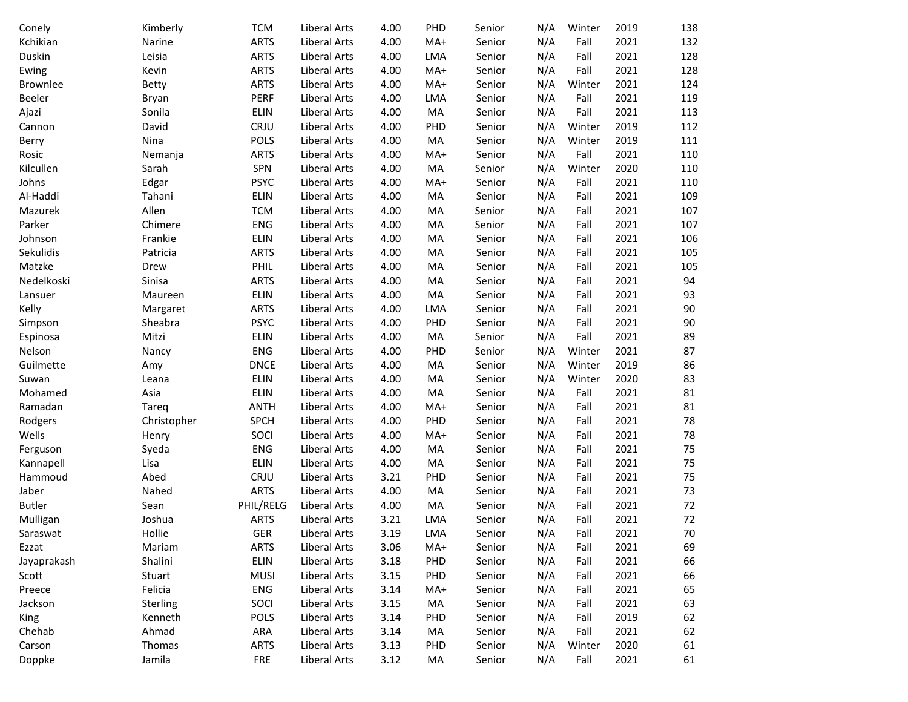| Conely        | Kimberly    | <b>TCM</b>  | Liberal Arts        | 4.00 | PHD        | Senior | N/A | Winter | 2019 | 138 |
|---------------|-------------|-------------|---------------------|------|------------|--------|-----|--------|------|-----|
| Kchikian      | Narine      | <b>ARTS</b> | Liberal Arts        | 4.00 | $MA+$      | Senior | N/A | Fall   | 2021 | 132 |
| Duskin        | Leisia      | <b>ARTS</b> | Liberal Arts        | 4.00 | LMA        | Senior | N/A | Fall   | 2021 | 128 |
| Ewing         | Kevin       | <b>ARTS</b> | Liberal Arts        | 4.00 | MA+        | Senior | N/A | Fall   | 2021 | 128 |
| Brownlee      | Betty       | <b>ARTS</b> | Liberal Arts        | 4.00 | $MA+$      | Senior | N/A | Winter | 2021 | 124 |
| Beeler        | Bryan       | PERF        | Liberal Arts        | 4.00 | LMA        | Senior | N/A | Fall   | 2021 | 119 |
| Ajazi         | Sonila      | <b>ELIN</b> | Liberal Arts        | 4.00 | MA         | Senior | N/A | Fall   | 2021 | 113 |
| Cannon        | David       | CRJU        | Liberal Arts        | 4.00 | PHD        | Senior | N/A | Winter | 2019 | 112 |
| Berry         | Nina        | <b>POLS</b> | Liberal Arts        | 4.00 | MA         | Senior | N/A | Winter | 2019 | 111 |
| Rosic         | Nemanja     | <b>ARTS</b> | Liberal Arts        | 4.00 | MA+        | Senior | N/A | Fall   | 2021 | 110 |
| Kilcullen     | Sarah       | SPN         | <b>Liberal Arts</b> | 4.00 | MA         | Senior | N/A | Winter | 2020 | 110 |
| Johns         | Edgar       | <b>PSYC</b> | Liberal Arts        | 4.00 | MA+        | Senior | N/A | Fall   | 2021 | 110 |
| Al-Haddi      | Tahani      | <b>ELIN</b> | Liberal Arts        | 4.00 | MA         | Senior | N/A | Fall   | 2021 | 109 |
| Mazurek       | Allen       | <b>TCM</b>  | Liberal Arts        | 4.00 | MA         | Senior | N/A | Fall   | 2021 | 107 |
| Parker        | Chimere     | <b>ENG</b>  | Liberal Arts        | 4.00 | MA         | Senior | N/A | Fall   | 2021 | 107 |
| Johnson       | Frankie     | <b>ELIN</b> | Liberal Arts        | 4.00 | MA         | Senior | N/A | Fall   | 2021 | 106 |
| Sekulidis     | Patricia    | <b>ARTS</b> | Liberal Arts        | 4.00 | MA         | Senior | N/A | Fall   | 2021 | 105 |
| Matzke        | Drew        | PHIL        | <b>Liberal Arts</b> | 4.00 | MA         | Senior | N/A | Fall   | 2021 | 105 |
| Nedelkoski    | Sinisa      | <b>ARTS</b> | Liberal Arts        | 4.00 | MA         | Senior | N/A | Fall   | 2021 | 94  |
| Lansuer       | Maureen     | ELIN        | Liberal Arts        | 4.00 | MA         | Senior | N/A | Fall   | 2021 | 93  |
| Kelly         | Margaret    | <b>ARTS</b> | Liberal Arts        | 4.00 | LMA        | Senior | N/A | Fall   | 2021 | 90  |
| Simpson       | Sheabra     | <b>PSYC</b> | Liberal Arts        | 4.00 | PHD        | Senior | N/A | Fall   | 2021 | 90  |
| Espinosa      | Mitzi       | <b>ELIN</b> | Liberal Arts        | 4.00 | MA         | Senior | N/A | Fall   | 2021 | 89  |
| Nelson        | Nancy       | <b>ENG</b>  | Liberal Arts        | 4.00 | PHD        | Senior | N/A | Winter | 2021 | 87  |
| Guilmette     | Amy         | <b>DNCE</b> | Liberal Arts        | 4.00 | MA         | Senior | N/A | Winter | 2019 | 86  |
| Suwan         | Leana       | <b>ELIN</b> | Liberal Arts        | 4.00 | MA         | Senior | N/A | Winter | 2020 | 83  |
| Mohamed       | Asia        | <b>ELIN</b> | Liberal Arts        | 4.00 | MA         | Senior | N/A | Fall   | 2021 | 81  |
| Ramadan       | Tareq       | <b>ANTH</b> | Liberal Arts        | 4.00 | MA+        | Senior | N/A | Fall   | 2021 | 81  |
| Rodgers       | Christopher | <b>SPCH</b> | Liberal Arts        | 4.00 | PHD        | Senior | N/A | Fall   | 2021 | 78  |
| Wells         | Henry       | SOCI        | Liberal Arts        | 4.00 | MA+        | Senior | N/A | Fall   | 2021 | 78  |
| Ferguson      | Syeda       | <b>ENG</b>  | Liberal Arts        | 4.00 | MA         | Senior | N/A | Fall   | 2021 | 75  |
| Kannapell     | Lisa        | <b>ELIN</b> | Liberal Arts        | 4.00 | MA         | Senior | N/A | Fall   | 2021 | 75  |
| Hammoud       | Abed        | CRJU        | Liberal Arts        | 3.21 | PHD        | Senior | N/A | Fall   | 2021 | 75  |
| Jaber         | Nahed       | <b>ARTS</b> | Liberal Arts        | 4.00 | MA         | Senior | N/A | Fall   | 2021 | 73  |
| <b>Butler</b> | Sean        | PHIL/RELG   | Liberal Arts        | 4.00 | MA         | Senior | N/A | Fall   | 2021 | 72  |
| Mulligan      | Joshua      | <b>ARTS</b> | Liberal Arts        | 3.21 | <b>LMA</b> | Senior | N/A | Fall   | 2021 | 72  |
| Saraswat      | Hollie      | GER         | Liberal Arts        | 3.19 | LMA        | Senior | N/A | Fall   | 2021 | 70  |
| Ezzat         | Mariam      | <b>ARTS</b> | Liberal Arts        | 3.06 | MA+        | Senior | N/A | Fall   | 2021 | 69  |
| Jayaprakash   | Shalini     | ELIN        | Liberal Arts        | 3.18 | PHD        | Senior | N/A | Fall   | 2021 | 66  |
| Scott         | Stuart      | <b>MUSI</b> | Liberal Arts        | 3.15 | PHD        | Senior | N/A | Fall   | 2021 | 66  |
| Preece        | Felicia     | ENG         | Liberal Arts        | 3.14 | MA+        | Senior | N/A | Fall   | 2021 | 65  |
| Jackson       | Sterling    | SOCI        | Liberal Arts        | 3.15 | MA         | Senior | N/A | Fall   | 2021 | 63  |
| King          | Kenneth     | POLS        | Liberal Arts        | 3.14 | PHD        | Senior | N/A | Fall   | 2019 | 62  |
| Chehab        | Ahmad       | ARA         | Liberal Arts        | 3.14 | MA         | Senior | N/A | Fall   | 2021 | 62  |
| Carson        | Thomas      | <b>ARTS</b> | Liberal Arts        | 3.13 | PHD        | Senior | N/A | Winter | 2020 | 61  |
| Doppke        | Jamila      | <b>FRE</b>  | Liberal Arts        | 3.12 | MA         | Senior | N/A | Fall   | 2021 | 61  |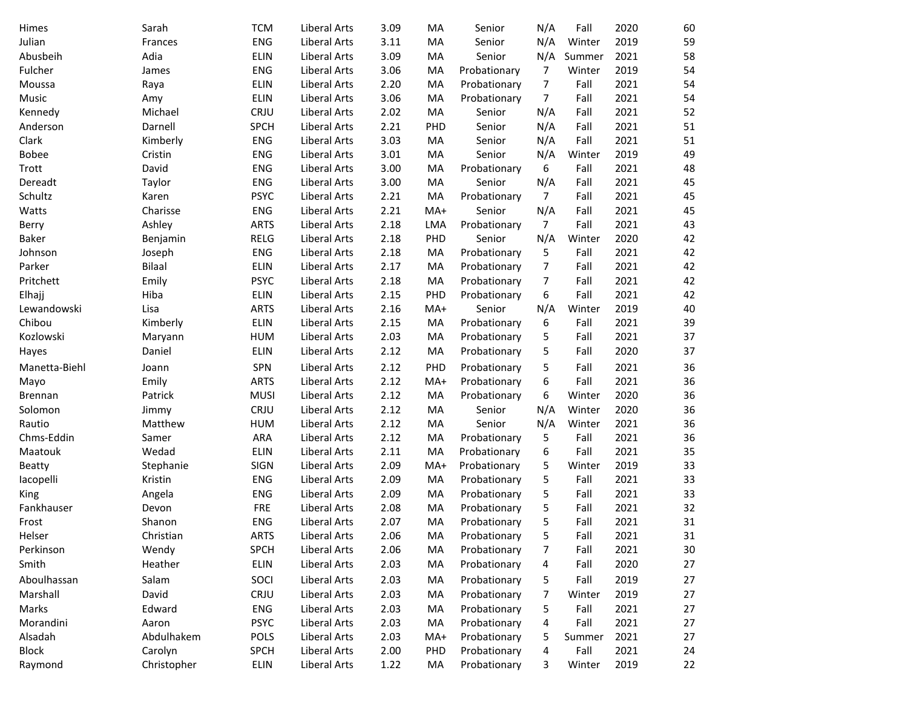| Himes          | Sarah         | <b>TCM</b>  | Liberal Arts        | 3.09 | MA    | Senior       | N/A            | Fall   | 2020 | 60 |
|----------------|---------------|-------------|---------------------|------|-------|--------------|----------------|--------|------|----|
| Julian         | Frances       | <b>ENG</b>  | Liberal Arts        | 3.11 | MA    | Senior       | N/A            | Winter | 2019 | 59 |
| Abusbeih       | Adia          | ELIN        | Liberal Arts        | 3.09 | MA    | Senior       | N/A            | Summer | 2021 | 58 |
| Fulcher        | James         | <b>ENG</b>  | Liberal Arts        | 3.06 | MA    | Probationary | 7              | Winter | 2019 | 54 |
| Moussa         | Raya          | <b>ELIN</b> | Liberal Arts        | 2.20 | MA    | Probationary | 7              | Fall   | 2021 | 54 |
| Music          | Amy           | <b>ELIN</b> | Liberal Arts        | 3.06 | MA    | Probationary | $\overline{7}$ | Fall   | 2021 | 54 |
| Kennedy        | Michael       | CRJU        | Liberal Arts        | 2.02 | MA    | Senior       | N/A            | Fall   | 2021 | 52 |
| Anderson       | Darnell       | <b>SPCH</b> | Liberal Arts        | 2.21 | PHD   | Senior       | N/A            | Fall   | 2021 | 51 |
| Clark          | Kimberly      | ENG         | Liberal Arts        | 3.03 | MA    | Senior       | N/A            | Fall   | 2021 | 51 |
| <b>Bobee</b>   | Cristin       | <b>ENG</b>  | Liberal Arts        | 3.01 | MA    | Senior       | N/A            | Winter | 2019 | 49 |
| Trott          | David         | <b>ENG</b>  | Liberal Arts        | 3.00 | MA    | Probationary | 6              | Fall   | 2021 | 48 |
| Dereadt        | Taylor        | <b>ENG</b>  | Liberal Arts        | 3.00 | MA    | Senior       | N/A            | Fall   | 2021 | 45 |
| Schultz        | Karen         | <b>PSYC</b> | Liberal Arts        | 2.21 | MA    | Probationary | $\overline{7}$ | Fall   | 2021 | 45 |
| Watts          | Charisse      | <b>ENG</b>  | Liberal Arts        | 2.21 | MA+   | Senior       | N/A            | Fall   | 2021 | 45 |
| Berry          | Ashley        | <b>ARTS</b> | Liberal Arts        | 2.18 | LMA   | Probationary | $\overline{7}$ | Fall   | 2021 | 43 |
| <b>Baker</b>   | Benjamin      | <b>RELG</b> | Liberal Arts        | 2.18 | PHD   | Senior       | N/A            | Winter | 2020 | 42 |
| Johnson        | Joseph        | <b>ENG</b>  | Liberal Arts        | 2.18 | MA    | Probationary | 5              | Fall   | 2021 | 42 |
| Parker         | <b>Bilaal</b> | ELIN        | Liberal Arts        | 2.17 | MA    | Probationary | $\overline{7}$ | Fall   | 2021 | 42 |
| Pritchett      | Emily         | <b>PSYC</b> | <b>Liberal Arts</b> | 2.18 | MA    | Probationary | 7              | Fall   | 2021 | 42 |
| Elhajj         | Hiba          | ELIN        | <b>Liberal Arts</b> | 2.15 | PHD   | Probationary | 6              | Fall   | 2021 | 42 |
| Lewandowski    | Lisa          | <b>ARTS</b> | Liberal Arts        | 2.16 | MA+   | Senior       | N/A            | Winter | 2019 | 40 |
| Chibou         | Kimberly      | ELIN        | Liberal Arts        | 2.15 | MA    | Probationary | 6              | Fall   | 2021 | 39 |
| Kozlowski      | Maryann       | <b>HUM</b>  | <b>Liberal Arts</b> | 2.03 | MA    | Probationary | 5              | Fall   | 2021 | 37 |
| Hayes          | Daniel        | <b>ELIN</b> | Liberal Arts        | 2.12 | MA    | Probationary | 5              | Fall   | 2020 | 37 |
| Manetta-Biehl  | Joann         | SPN         | Liberal Arts        | 2.12 | PHD   | Probationary | 5              | Fall   | 2021 | 36 |
| Mayo           | Emily         | <b>ARTS</b> | Liberal Arts        | 2.12 | $MA+$ | Probationary | 6              | Fall   | 2021 | 36 |
| <b>Brennan</b> | Patrick       | <b>MUSI</b> | Liberal Arts        | 2.12 | MA    | Probationary | 6              | Winter | 2020 | 36 |
| Solomon        | Jimmy         | CRJU        | Liberal Arts        | 2.12 | MA    | Senior       | N/A            | Winter | 2020 | 36 |
| Rautio         | Matthew       | <b>HUM</b>  | Liberal Arts        | 2.12 | MA    | Senior       | N/A            | Winter | 2021 | 36 |
| Chms-Eddin     | Samer         | <b>ARA</b>  | Liberal Arts        | 2.12 | MA    | Probationary | 5              | Fall   | 2021 | 36 |
| Maatouk        | Wedad         | ELIN        | Liberal Arts        | 2.11 | MA    | Probationary | 6              | Fall   | 2021 | 35 |
| Beatty         | Stephanie     | <b>SIGN</b> | Liberal Arts        | 2.09 | MA+   | Probationary | 5              | Winter | 2019 | 33 |
| lacopelli      | Kristin       | <b>ENG</b>  | Liberal Arts        | 2.09 | MA    | Probationary | 5              | Fall   | 2021 | 33 |
| King           | Angela        | <b>ENG</b>  | Liberal Arts        | 2.09 | MA    | Probationary | 5              | Fall   | 2021 | 33 |
| Fankhauser     | Devon         | <b>FRE</b>  | Liberal Arts        | 2.08 | MA    | Probationary | 5              | Fall   | 2021 | 32 |
| Frost          | Shanon        | ENG         | Liberal Arts        | 2.07 | MA    | Probationary | 5              | Fall   | 2021 | 31 |
| Helser         | Christian     | <b>ARTS</b> | Liberal Arts        | 2.06 | MA    | Probationary | 5              | Fall   | 2021 | 31 |
| Perkinson      | Wendy         | SPCH        | Liberal Arts        | 2.06 | MA    | Probationary | 7              | Fall   | 2021 | 30 |
| Smith          | Heather       | ELIN        | <b>Liberal Arts</b> | 2.03 | MA    | Probationary | 4              | Fall   | 2020 | 27 |
| Aboulhassan    | Salam         | SOCI        | Liberal Arts        | 2.03 | MA    | Probationary | 5              | Fall   | 2019 | 27 |
| Marshall       | David         | CRJU        | Liberal Arts        | 2.03 | MA    | Probationary | 7              | Winter | 2019 | 27 |
| Marks          | Edward        | ENG         | <b>Liberal Arts</b> | 2.03 | MA    | Probationary | 5              | Fall   | 2021 | 27 |
| Morandini      | Aaron         | <b>PSYC</b> | <b>Liberal Arts</b> | 2.03 | MA    | Probationary | 4              | Fall   | 2021 | 27 |
| Alsadah        | Abdulhakem    | <b>POLS</b> | Liberal Arts        | 2.03 | MA+   | Probationary | 5              | Summer | 2021 | 27 |
| <b>Block</b>   | Carolyn       | <b>SPCH</b> | Liberal Arts        | 2.00 | PHD   | Probationary | 4              | Fall   | 2021 | 24 |
| Raymond        | Christopher   | ELIN        | Liberal Arts        | 1.22 | MA    | Probationary | 3              | Winter | 2019 | 22 |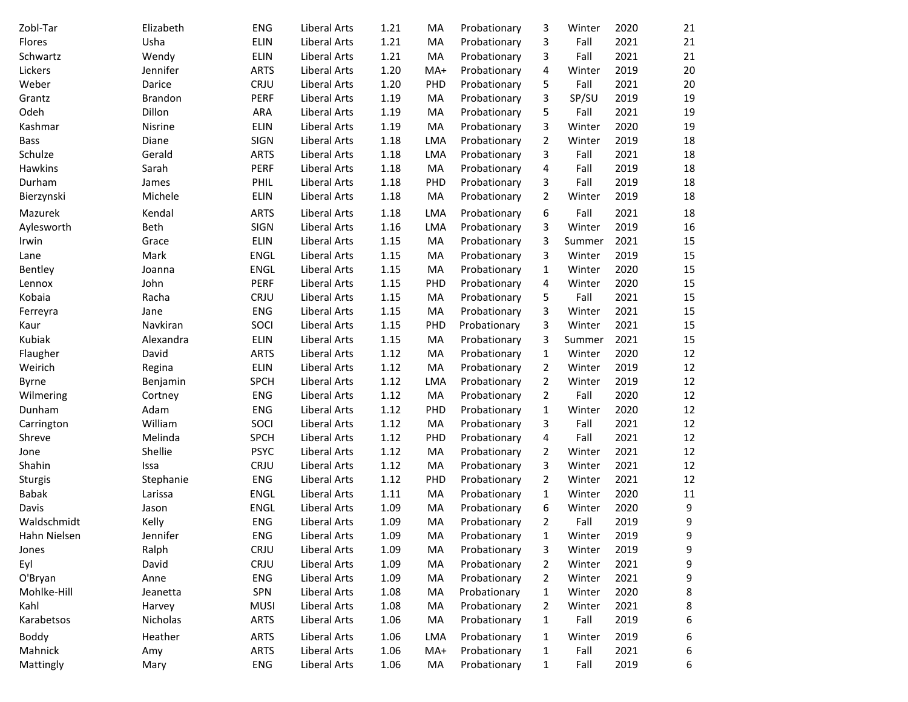| Zobl-Tar     | Elizabeth      | <b>ENG</b>  | Liberal Arts        | 1.21 | MA         | Probationary | 3              | Winter | 2020 | 21 |
|--------------|----------------|-------------|---------------------|------|------------|--------------|----------------|--------|------|----|
| Flores       | Usha           | <b>ELIN</b> | <b>Liberal Arts</b> | 1.21 | MA         | Probationary | 3              | Fall   | 2021 | 21 |
| Schwartz     | Wendy          | <b>ELIN</b> | Liberal Arts        | 1.21 | MA         | Probationary | 3              | Fall   | 2021 | 21 |
| Lickers      | Jennifer       | <b>ARTS</b> | Liberal Arts        | 1.20 | MA+        | Probationary | 4              | Winter | 2019 | 20 |
| Weber        | Darice         | CRJU        | Liberal Arts        | 1.20 | PHD        | Probationary | 5              | Fall   | 2021 | 20 |
| Grantz       | <b>Brandon</b> | <b>PERF</b> | Liberal Arts        | 1.19 | MA         | Probationary | 3              | SP/SU  | 2019 | 19 |
| Odeh         | Dillon         | ARA         | Liberal Arts        | 1.19 | MA         | Probationary | 5              | Fall   | 2021 | 19 |
| Kashmar      | Nisrine        | <b>ELIN</b> | Liberal Arts        | 1.19 | MA         | Probationary | 3              | Winter | 2020 | 19 |
| <b>Bass</b>  | Diane          | <b>SIGN</b> | Liberal Arts        | 1.18 | LMA        | Probationary | 2              | Winter | 2019 | 18 |
| Schulze      | Gerald         | <b>ARTS</b> | Liberal Arts        | 1.18 | LMA        | Probationary | 3              | Fall   | 2021 | 18 |
| Hawkins      | Sarah          | <b>PERF</b> | Liberal Arts        | 1.18 | MA         | Probationary | 4              | Fall   | 2019 | 18 |
| Durham       | James          | PHIL        | Liberal Arts        | 1.18 | PHD        | Probationary | 3              | Fall   | 2019 | 18 |
| Bierzynski   | Michele        | ELIN        | Liberal Arts        | 1.18 | MA         | Probationary | 2              | Winter | 2019 | 18 |
| Mazurek      | Kendal         | <b>ARTS</b> | Liberal Arts        | 1.18 | LMA        | Probationary | 6              | Fall   | 2021 | 18 |
| Aylesworth   | Beth           | <b>SIGN</b> | Liberal Arts        | 1.16 | LMA        | Probationary | 3              | Winter | 2019 | 16 |
| Irwin        | Grace          | ELIN        | Liberal Arts        | 1.15 | MA         | Probationary | 3              | Summer | 2021 | 15 |
| Lane         | Mark           | ENGL        | Liberal Arts        | 1.15 | MA         | Probationary | 3              | Winter | 2019 | 15 |
| Bentley      | Joanna         | ENGL        | Liberal Arts        | 1.15 | MA         | Probationary | 1              | Winter | 2020 | 15 |
| Lennox       | John           | PERF        | Liberal Arts        | 1.15 | PHD        | Probationary | 4              | Winter | 2020 | 15 |
| Kobaia       | Racha          | CRJU        | Liberal Arts        | 1.15 | MA         | Probationary | 5              | Fall   | 2021 | 15 |
| Ferreyra     | Jane           | <b>ENG</b>  | Liberal Arts        | 1.15 | MA         | Probationary | 3              | Winter | 2021 | 15 |
| Kaur         | Navkiran       | SOCI        | Liberal Arts        | 1.15 | PHD        | Probationary | 3              | Winter | 2021 | 15 |
| Kubiak       | Alexandra      | <b>ELIN</b> | Liberal Arts        | 1.15 | MA         | Probationary | 3              | Summer | 2021 | 15 |
| Flaugher     | David          | <b>ARTS</b> | Liberal Arts        | 1.12 | MA         | Probationary | 1              | Winter | 2020 | 12 |
| Weirich      | Regina         | <b>ELIN</b> | Liberal Arts        | 1.12 | MA         | Probationary | 2              | Winter | 2019 | 12 |
| Byrne        | Benjamin       | <b>SPCH</b> | Liberal Arts        | 1.12 | <b>LMA</b> | Probationary | 2              | Winter | 2019 | 12 |
| Wilmering    | Cortney        | <b>ENG</b>  | Liberal Arts        | 1.12 | MA         | Probationary | 2              | Fall   | 2020 | 12 |
| Dunham       | Adam           | <b>ENG</b>  | <b>Liberal Arts</b> | 1.12 | PHD        | Probationary | 1              | Winter | 2020 | 12 |
| Carrington   | William        | SOCI        | Liberal Arts        | 1.12 | MA         | Probationary | 3              | Fall   | 2021 | 12 |
| Shreve       | Melinda        | <b>SPCH</b> | Liberal Arts        | 1.12 | PHD        | Probationary | 4              | Fall   | 2021 | 12 |
| Jone         | Shellie        | <b>PSYC</b> | Liberal Arts        | 1.12 | MA         | Probationary | 2              | Winter | 2021 | 12 |
| Shahin       | Issa           | CRJU        | Liberal Arts        | 1.12 | MA         | Probationary | 3              | Winter | 2021 | 12 |
| Sturgis      | Stephanie      | <b>ENG</b>  | Liberal Arts        | 1.12 | PHD        | Probationary | 2              | Winter | 2021 | 12 |
| <b>Babak</b> | Larissa        | ENGL        | Liberal Arts        | 1.11 | MA         | Probationary | $\mathbf 1$    | Winter | 2020 | 11 |
| Davis        | Jason          | ENGL        | Liberal Arts        | 1.09 | MA         | Probationary | 6              | Winter | 2020 | 9  |
| Waldschmidt  | Kelly          | <b>ENG</b>  | Liberal Arts        | 1.09 | MA         | Probationary | 2              | Fall   | 2019 | 9  |
| Hahn Nielsen | Jennifer       | ENG         | Liberal Arts        | 1.09 | MA         | Probationary | $\mathbf 1$    | Winter | 2019 | 9  |
| Jones        | Ralph          | CRJU        | Liberal Arts        | 1.09 | MA         | Probationary | 3              | Winter | 2019 | 9  |
| Eyl          | David          | CRJU        | <b>Liberal Arts</b> | 1.09 | MA         | Probationary | $\overline{2}$ | Winter | 2021 | 9  |
| O'Bryan      | Anne           | ENG         | Liberal Arts        | 1.09 | MA         | Probationary | 2              | Winter | 2021 | 9  |
| Mohlke-Hill  | Jeanetta       | SPN         | Liberal Arts        | 1.08 | MA         | Probationary | $\mathbf{1}$   | Winter | 2020 | 8  |
| Kahl         | Harvey         | <b>MUSI</b> | <b>Liberal Arts</b> | 1.08 | MA         | Probationary | 2              | Winter | 2021 | 8  |
| Karabetsos   | Nicholas       | <b>ARTS</b> | Liberal Arts        | 1.06 | MA         | Probationary | 1              | Fall   | 2019 | 6  |
| Boddy        | Heather        | <b>ARTS</b> | <b>Liberal Arts</b> | 1.06 | <b>LMA</b> | Probationary | $\mathbf{1}$   | Winter | 2019 | 6  |
| Mahnick      | Amy            | <b>ARTS</b> | Liberal Arts        | 1.06 | MA+        | Probationary | $\mathbf{1}$   | Fall   | 2021 | 6  |
| Mattingly    | Mary           | <b>ENG</b>  | Liberal Arts        | 1.06 | MA         | Probationary | $\mathbf{1}$   | Fall   | 2019 | 6  |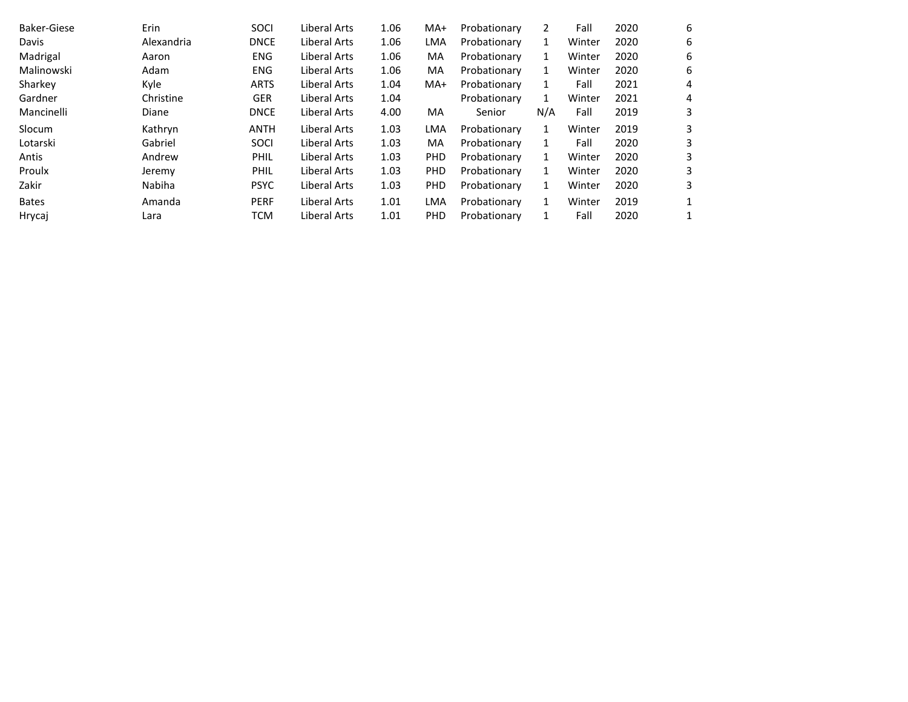| Baker-Giese  | Erin       | SOCI        | Liberal Arts | 1.06 | $MA+$      | Probationary | 2   | Fall   | 2020 | 6 |
|--------------|------------|-------------|--------------|------|------------|--------------|-----|--------|------|---|
| Davis        | Alexandria | <b>DNCE</b> | Liberal Arts | 1.06 | <b>LMA</b> | Probationary | 1   | Winter | 2020 | 6 |
| Madrigal     | Aaron      | <b>ENG</b>  | Liberal Arts | 1.06 | MA         | Probationary | 1   | Winter | 2020 | 6 |
| Malinowski   | Adam       | <b>ENG</b>  | Liberal Arts | 1.06 | МA         | Probationary | 1   | Winter | 2020 | 6 |
| Sharkey      | Kyle       | <b>ARTS</b> | Liberal Arts | 1.04 | $MA+$      | Probationary | 1   | Fall   | 2021 | 4 |
| Gardner      | Christine  | <b>GER</b>  | Liberal Arts | 1.04 |            | Probationary | 1   | Winter | 2021 | 4 |
| Mancinelli   | Diane      | <b>DNCE</b> | Liberal Arts | 4.00 | MA         | Senior       | N/A | Fall   | 2019 | 3 |
| Slocum       | Kathryn    | <b>ANTH</b> | Liberal Arts | 1.03 | <b>LMA</b> | Probationary | 1   | Winter | 2019 | 3 |
| Lotarski     | Gabriel    | <b>SOCI</b> | Liberal Arts | 1.03 | <b>MA</b>  | Probationary | 1   | Fall   | 2020 | 3 |
| Antis        | Andrew     | PHIL        | Liberal Arts | 1.03 | <b>PHD</b> | Probationary | 1   | Winter | 2020 | 3 |
| Proulx       | Jeremy     | PHIL        | Liberal Arts | 1.03 | <b>PHD</b> | Probationary | 1   | Winter | 2020 | 3 |
| Zakir        | Nabiha     | <b>PSYC</b> | Liberal Arts | 1.03 | PHD        | Probationary | 1   | Winter | 2020 | 3 |
| <b>Bates</b> | Amanda     | <b>PERF</b> | Liberal Arts | 1.01 | <b>LMA</b> | Probationary | 1   | Winter | 2019 |   |
| Hrycaj       | Lara       | <b>TCM</b>  | Liberal Arts | 1.01 | PHD        | Probationary | 1   | Fall   | 2020 |   |